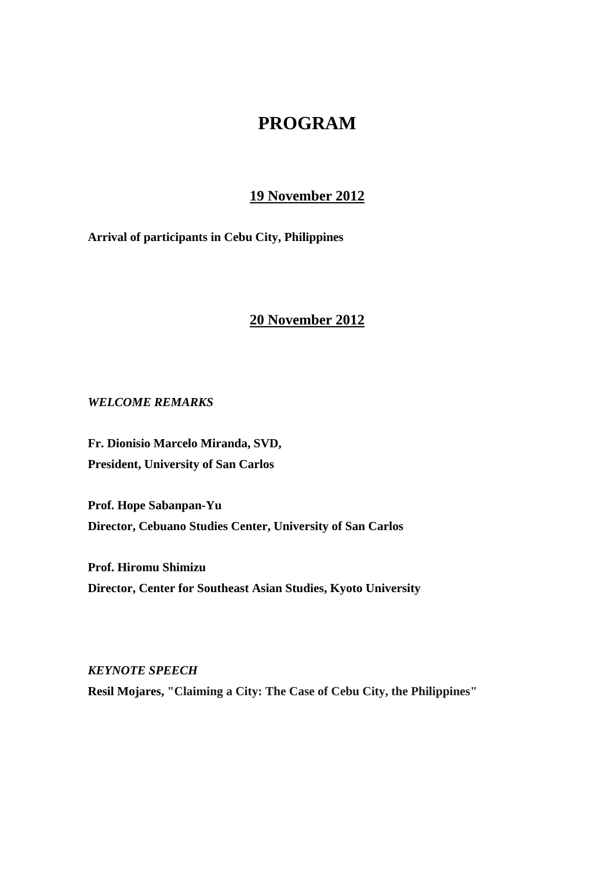# **PROGRAM**

## **19 November 2012**

**Arrival of participants in Cebu City, Philippines** 

## **20 November 2012**

*WELCOME REMARKS* 

**Fr. Dionisio Marcelo Miranda, SVD, President, University of San Carlos** 

**Prof. Hope Sabanpan-Yu Director, Cebuano Studies Center, University of San Carlos** 

**Prof. Hiromu Shimizu Director, Center for Southeast Asian Studies, Kyoto University** 

*KEYNOTE SPEECH*  **Resil Mojares, "Claiming a City: The Case of Cebu City, the Philippines"**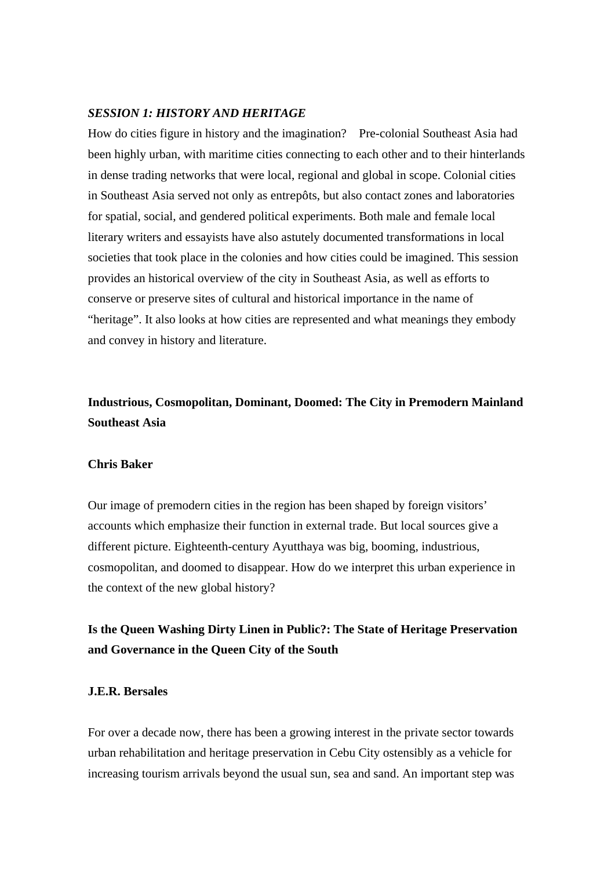#### *SESSION 1: HISTORY AND HERITAGE*

How do cities figure in history and the imagination? Pre-colonial Southeast Asia had been highly urban, with maritime cities connecting to each other and to their hinterlands in dense trading networks that were local, regional and global in scope. Colonial cities in Southeast Asia served not only as entrepôts, but also contact zones and laboratories for spatial, social, and gendered political experiments. Both male and female local literary writers and essayists have also astutely documented transformations in local societies that took place in the colonies and how cities could be imagined. This session provides an historical overview of the city in Southeast Asia, as well as efforts to conserve or preserve sites of cultural and historical importance in the name of "heritage". It also looks at how cities are represented and what meanings they embody and convey in history and literature.

## **Industrious, Cosmopolitan, Dominant, Doomed: The City in Premodern Mainland Southeast Asia**

#### **Chris Baker**

Our image of premodern cities in the region has been shaped by foreign visitors' accounts which emphasize their function in external trade. But local sources give a different picture. Eighteenth-century Ayutthaya was big, booming, industrious, cosmopolitan, and doomed to disappear. How do we interpret this urban experience in the context of the new global history?

## **Is the Queen Washing Dirty Linen in Public?: The State of Heritage Preservation and Governance in the Queen City of the South**

#### **J.E.R. Bersales**

For over a decade now, there has been a growing interest in the private sector towards urban rehabilitation and heritage preservation in Cebu City ostensibly as a vehicle for increasing tourism arrivals beyond the usual sun, sea and sand. An important step was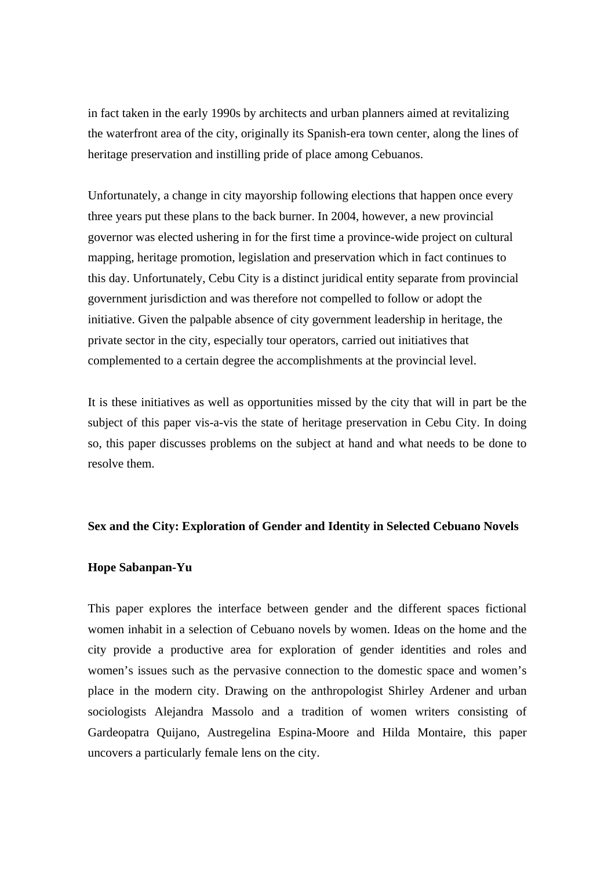in fact taken in the early 1990s by architects and urban planners aimed at revitalizing the waterfront area of the city, originally its Spanish-era town center, along the lines of heritage preservation and instilling pride of place among Cebuanos.

Unfortunately, a change in city mayorship following elections that happen once every three years put these plans to the back burner. In 2004, however, a new provincial governor was elected ushering in for the first time a province-wide project on cultural mapping, heritage promotion, legislation and preservation which in fact continues to this day. Unfortunately, Cebu City is a distinct juridical entity separate from provincial government jurisdiction and was therefore not compelled to follow or adopt the initiative. Given the palpable absence of city government leadership in heritage, the private sector in the city, especially tour operators, carried out initiatives that complemented to a certain degree the accomplishments at the provincial level.

It is these initiatives as well as opportunities missed by the city that will in part be the subject of this paper vis-a-vis the state of heritage preservation in Cebu City. In doing so, this paper discusses problems on the subject at hand and what needs to be done to resolve them.

### **Sex and the City: Exploration of Gender and Identity in Selected Cebuano Novels**

#### **Hope Sabanpan-Yu**

This paper explores the interface between gender and the different spaces fictional women inhabit in a selection of Cebuano novels by women. Ideas on the home and the city provide a productive area for exploration of gender identities and roles and women's issues such as the pervasive connection to the domestic space and women's place in the modern city. Drawing on the anthropologist Shirley Ardener and urban sociologists Alejandra Massolo and a tradition of women writers consisting of Gardeopatra Quijano, Austregelina Espina-Moore and Hilda Montaire, this paper uncovers a particularly female lens on the city.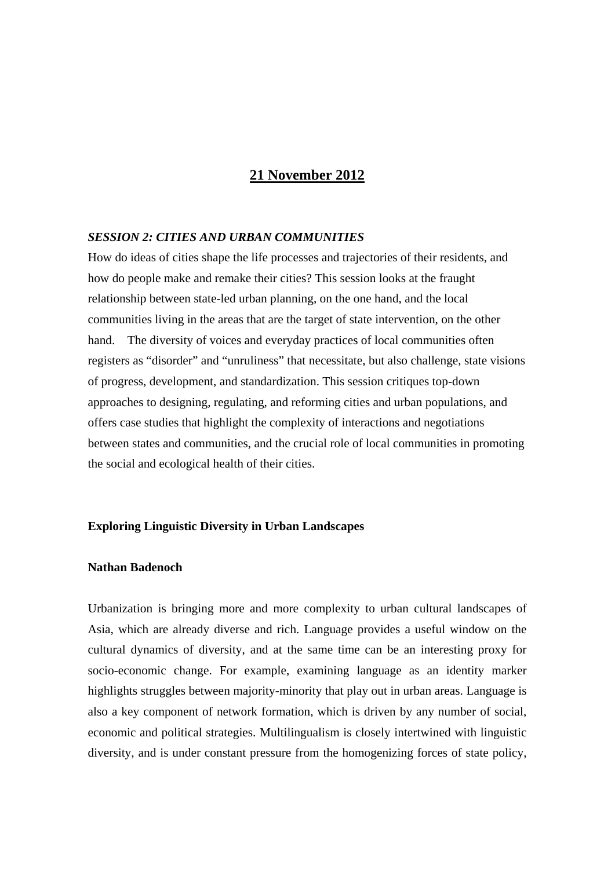### **21 November 2012**

#### *SESSION 2: CITIES AND URBAN COMMUNITIES*

How do ideas of cities shape the life processes and trajectories of their residents, and how do people make and remake their cities? This session looks at the fraught relationship between state-led urban planning, on the one hand, and the local communities living in the areas that are the target of state intervention, on the other hand. The diversity of voices and everyday practices of local communities often registers as "disorder" and "unruliness" that necessitate, but also challenge, state visions of progress, development, and standardization. This session critiques top-down approaches to designing, regulating, and reforming cities and urban populations, and offers case studies that highlight the complexity of interactions and negotiations between states and communities, and the crucial role of local communities in promoting the social and ecological health of their cities.

### **Exploring Linguistic Diversity in Urban Landscapes**

#### **Nathan Badenoch**

Urbanization is bringing more and more complexity to urban cultural landscapes of Asia, which are already diverse and rich. Language provides a useful window on the cultural dynamics of diversity, and at the same time can be an interesting proxy for socio-economic change. For example, examining language as an identity marker highlights struggles between majority-minority that play out in urban areas. Language is also a key component of network formation, which is driven by any number of social, economic and political strategies. Multilingualism is closely intertwined with linguistic diversity, and is under constant pressure from the homogenizing forces of state policy,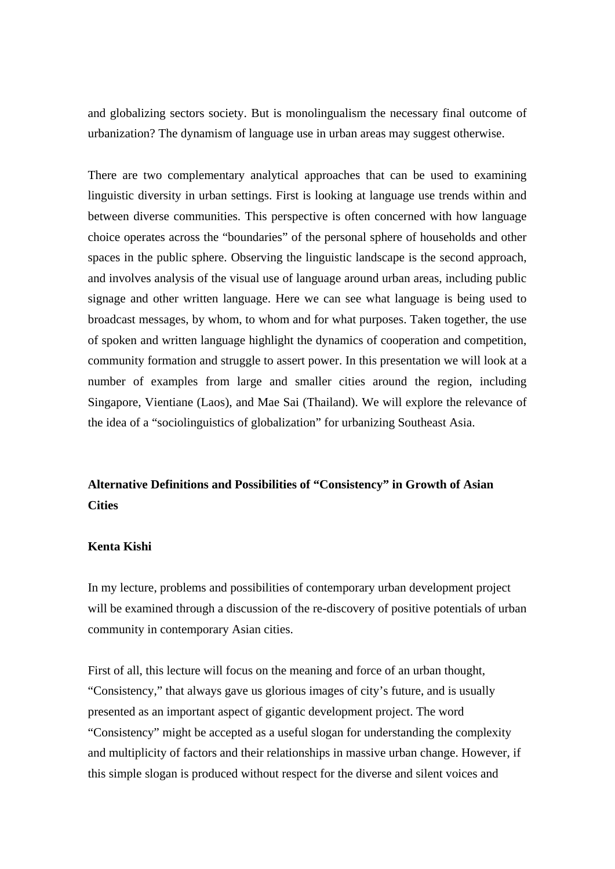and globalizing sectors society. But is monolingualism the necessary final outcome of urbanization? The dynamism of language use in urban areas may suggest otherwise.

There are two complementary analytical approaches that can be used to examining linguistic diversity in urban settings. First is looking at language use trends within and between diverse communities. This perspective is often concerned with how language choice operates across the "boundaries" of the personal sphere of households and other spaces in the public sphere. Observing the linguistic landscape is the second approach, and involves analysis of the visual use of language around urban areas, including public signage and other written language. Here we can see what language is being used to broadcast messages, by whom, to whom and for what purposes. Taken together, the use of spoken and written language highlight the dynamics of cooperation and competition, community formation and struggle to assert power. In this presentation we will look at a number of examples from large and smaller cities around the region, including Singapore, Vientiane (Laos), and Mae Sai (Thailand). We will explore the relevance of the idea of a "sociolinguistics of globalization" for urbanizing Southeast Asia.

## **Alternative Definitions and Possibilities of "Consistency" in Growth of Asian Cities**

### **Kenta Kishi**

In my lecture, problems and possibilities of contemporary urban development project will be examined through a discussion of the re-discovery of positive potentials of urban community in contemporary Asian cities.

First of all, this lecture will focus on the meaning and force of an urban thought, "Consistency," that always gave us glorious images of city's future, and is usually presented as an important aspect of gigantic development project. The word "Consistency" might be accepted as a useful slogan for understanding the complexity and multiplicity of factors and their relationships in massive urban change. However, if this simple slogan is produced without respect for the diverse and silent voices and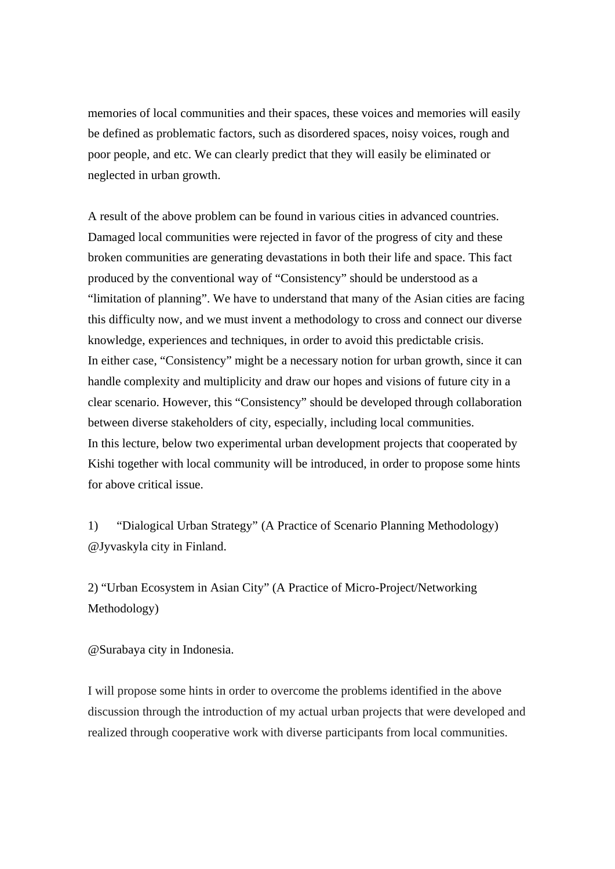memories of local communities and their spaces, these voices and memories will easily be defined as problematic factors, such as disordered spaces, noisy voices, rough and poor people, and etc. We can clearly predict that they will easily be eliminated or neglected in urban growth.

A result of the above problem can be found in various cities in advanced countries. Damaged local communities were rejected in favor of the progress of city and these broken communities are generating devastations in both their life and space. This fact produced by the conventional way of "Consistency" should be understood as a "limitation of planning". We have to understand that many of the Asian cities are facing this difficulty now, and we must invent a methodology to cross and connect our diverse knowledge, experiences and techniques, in order to avoid this predictable crisis. In either case, "Consistency" might be a necessary notion for urban growth, since it can handle complexity and multiplicity and draw our hopes and visions of future city in a clear scenario. However, this "Consistency" should be developed through collaboration between diverse stakeholders of city, especially, including local communities. In this lecture, below two experimental urban development projects that cooperated by Kishi together with local community will be introduced, in order to propose some hints for above critical issue.

1) "Dialogical Urban Strategy" (A Practice of Scenario Planning Methodology) @Jyvaskyla city in Finland.

2) "Urban Ecosystem in Asian City" (A Practice of Micro-Project/Networking Methodology)

@Surabaya city in Indonesia.

I will propose some hints in order to overcome the problems identified in the above discussion through the introduction of my actual urban projects that were developed and realized through cooperative work with diverse participants from local communities.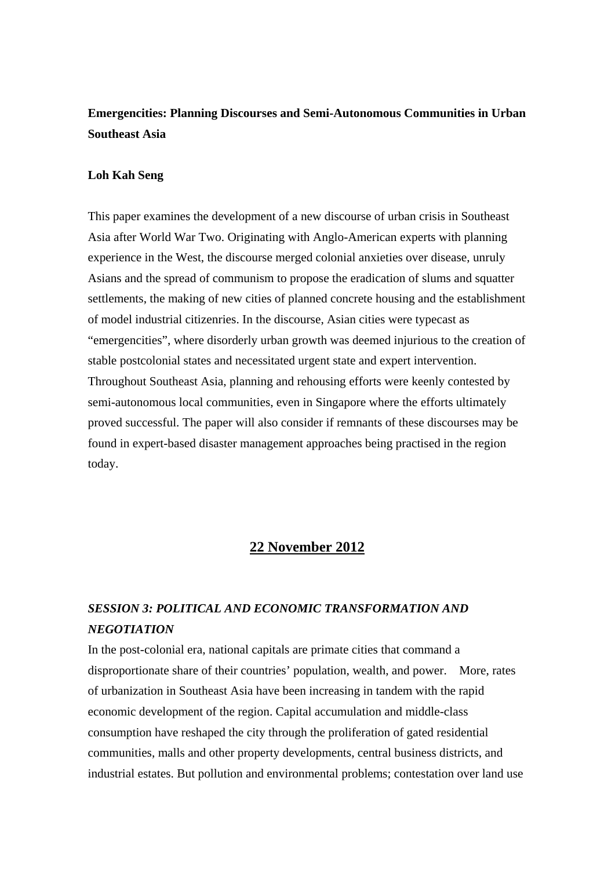## **Emergencities: Planning Discourses and Semi-Autonomous Communities in Urban Southeast Asia**

### **Loh Kah Seng**

This paper examines the development of a new discourse of urban crisis in Southeast Asia after World War Two. Originating with Anglo-American experts with planning experience in the West, the discourse merged colonial anxieties over disease, unruly Asians and the spread of communism to propose the eradication of slums and squatter settlements, the making of new cities of planned concrete housing and the establishment of model industrial citizenries. In the discourse, Asian cities were typecast as "emergencities", where disorderly urban growth was deemed injurious to the creation of stable postcolonial states and necessitated urgent state and expert intervention. Throughout Southeast Asia, planning and rehousing efforts were keenly contested by semi-autonomous local communities, even in Singapore where the efforts ultimately proved successful. The paper will also consider if remnants of these discourses may be found in expert-based disaster management approaches being practised in the region today.

### **22 November 2012**

## *SESSION 3: POLITICAL AND ECONOMIC TRANSFORMATION AND NEGOTIATION*

In the post-colonial era, national capitals are primate cities that command a disproportionate share of their countries' population, wealth, and power. More, rates of urbanization in Southeast Asia have been increasing in tandem with the rapid economic development of the region. Capital accumulation and middle-class consumption have reshaped the city through the proliferation of gated residential communities, malls and other property developments, central business districts, and industrial estates. But pollution and environmental problems; contestation over land use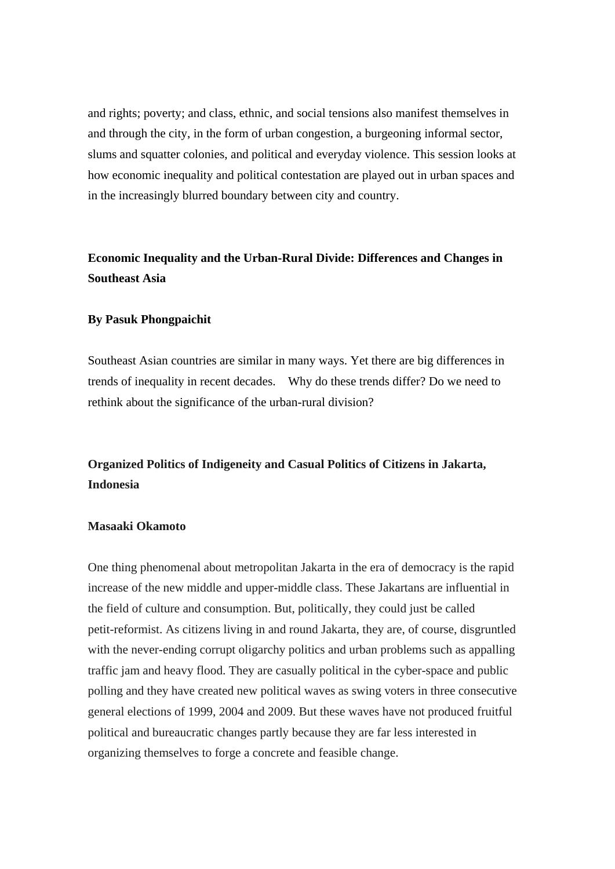and rights; poverty; and class, ethnic, and social tensions also manifest themselves in and through the city, in the form of urban congestion, a burgeoning informal sector, slums and squatter colonies, and political and everyday violence. This session looks at how economic inequality and political contestation are played out in urban spaces and in the increasingly blurred boundary between city and country.

## **Economic Inequality and the Urban-Rural Divide: Differences and Changes in Southeast Asia**

#### **By Pasuk Phongpaichit**

Southeast Asian countries are similar in many ways. Yet there are big differences in trends of inequality in recent decades. Why do these trends differ? Do we need to rethink about the significance of the urban-rural division?

## **Organized Politics of Indigeneity and Casual Politics of Citizens in Jakarta, Indonesia**

### **Masaaki Okamoto**

One thing phenomenal about metropolitan Jakarta in the era of democracy is the rapid increase of the new middle and upper-middle class. These Jakartans are influential in the field of culture and consumption. But, politically, they could just be called petit-reformist. As citizens living in and round Jakarta, they are, of course, disgruntled with the never-ending corrupt oligarchy politics and urban problems such as appalling traffic jam and heavy flood. They are casually political in the cyber-space and public polling and they have created new political waves as swing voters in three consecutive general elections of 1999, 2004 and 2009. But these waves have not produced fruitful political and bureaucratic changes partly because they are far less interested in organizing themselves to forge a concrete and feasible change.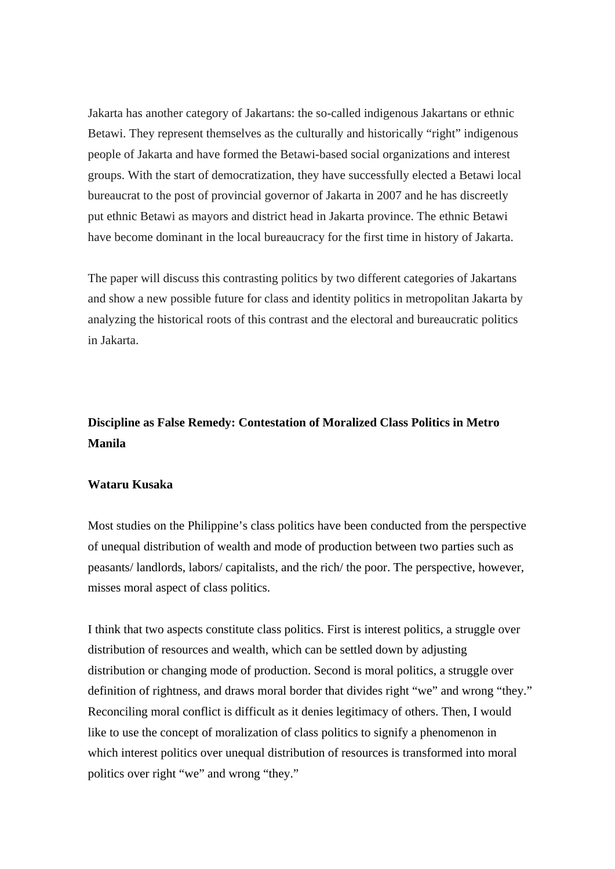Jakarta has another category of Jakartans: the so-called indigenous Jakartans or ethnic Betawi. They represent themselves as the culturally and historically "right" indigenous people of Jakarta and have formed the Betawi-based social organizations and interest groups. With the start of democratization, they have successfully elected a Betawi local bureaucrat to the post of provincial governor of Jakarta in 2007 and he has discreetly put ethnic Betawi as mayors and district head in Jakarta province. The ethnic Betawi have become dominant in the local bureaucracy for the first time in history of Jakarta.

The paper will discuss this contrasting politics by two different categories of Jakartans and show a new possible future for class and identity politics in metropolitan Jakarta by analyzing the historical roots of this contrast and the electoral and bureaucratic politics in Jakarta.

## **Discipline as False Remedy: Contestation of Moralized Class Politics in Metro Manila**

#### **Wataru Kusaka**

Most studies on the Philippine's class politics have been conducted from the perspective of unequal distribution of wealth and mode of production between two parties such as peasants/ landlords, labors/ capitalists, and the rich/ the poor. The perspective, however, misses moral aspect of class politics.

I think that two aspects constitute class politics. First is interest politics, a struggle over distribution of resources and wealth, which can be settled down by adjusting distribution or changing mode of production. Second is moral politics, a struggle over definition of rightness, and draws moral border that divides right "we" and wrong "they." Reconciling moral conflict is difficult as it denies legitimacy of others. Then, I would like to use the concept of moralization of class politics to signify a phenomenon in which interest politics over unequal distribution of resources is transformed into moral politics over right "we" and wrong "they."